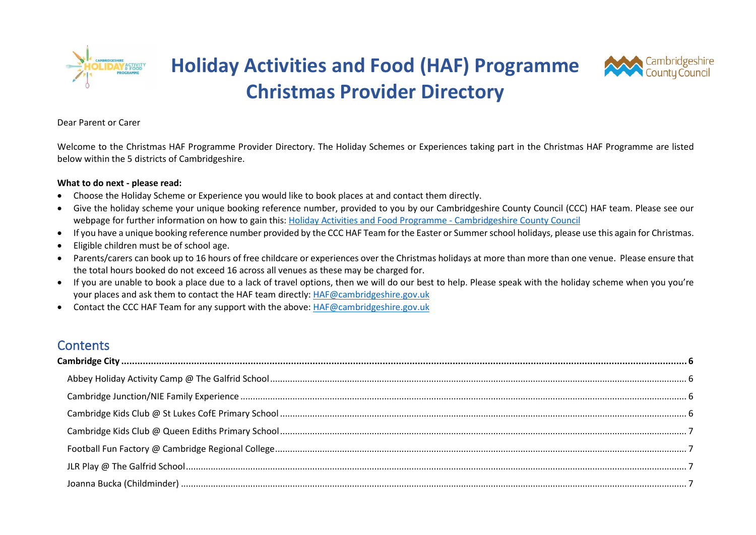

**Holiday Activities and Food (HAF) Programme Christmas Provider Directory**



#### Dear Parent or Carer

Welcome to the Christmas HAF Programme Provider Directory. The Holiday Schemes or Experiences taking part in the Christmas HAF Programme are listed below within the 5 districts of Cambridgeshire.

#### **What to do next - please read:**

- Choose the Holiday Scheme or Experience you would like to book places at and contact them directly.
- Give the holiday scheme your unique booking reference number, provided to you by our Cambridgeshire County Council (CCC) HAF team. Please see our webpage for further information on how to gain this[: Holiday Activities and Food Programme -](https://www.cambridgeshire.gov.uk/news/holiday-activities-and-food-programme) Cambridgeshire County Council
- If you have a unique booking reference number provided by the CCC HAF Team for the Easter or Summer school holidays, please use this again for Christmas.
- Eligible children must be of school age.
- Parents/carers can book up to 16 hours of free childcare or experiences over the Christmas holidays at more than more than one venue. Please ensure that the total hours booked do not exceed 16 across all venues as these may be charged for.
- If you are unable to book a place due to a lack of travel options, then we will do our best to help. Please speak with the holiday scheme when you you're your places and ask them to contact the HAF team directly[: HAF@cambridgeshire.gov.uk](mailto:HAF@cambridgeshire.gov.uk)
- Contact the CCC HAF Team for any support with the above[: HAF@cambridgeshire.gov.uk](mailto:HAF@cambridgeshire.gov.uk)

#### **Contents**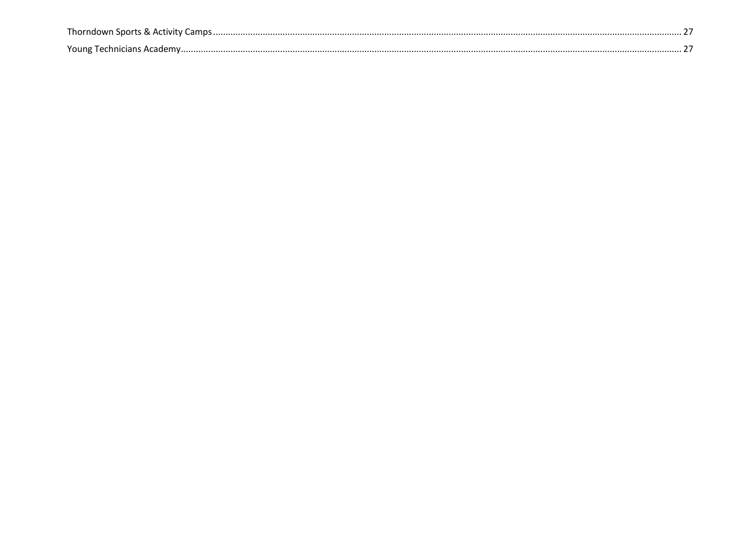| harndr  |  |
|---------|--|
| Young T |  |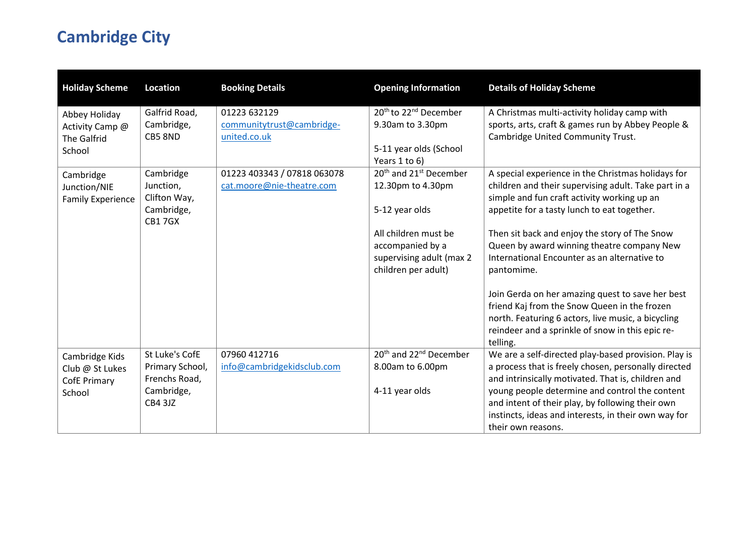# <span id="page-5-0"></span>**Cambridge City**

<span id="page-5-3"></span><span id="page-5-2"></span><span id="page-5-1"></span>

| <b>Holiday Scheme</b>                                              | <b>Location</b>                                                                    | <b>Booking Details</b>                                    | <b>Opening Information</b>                                                                                                                                                                            | <b>Details of Holiday Scheme</b>                                                                                                                                                                                                                                                                                                                                                                                                                                                                                                                                                                |
|--------------------------------------------------------------------|------------------------------------------------------------------------------------|-----------------------------------------------------------|-------------------------------------------------------------------------------------------------------------------------------------------------------------------------------------------------------|-------------------------------------------------------------------------------------------------------------------------------------------------------------------------------------------------------------------------------------------------------------------------------------------------------------------------------------------------------------------------------------------------------------------------------------------------------------------------------------------------------------------------------------------------------------------------------------------------|
| Abbey Holiday<br>Activity Camp @<br><b>The Galfrid</b><br>School   | Galfrid Road,<br>Cambridge,<br>CB5 8ND                                             | 01223 632129<br>communitytrust@cambridge-<br>united.co.uk | 20 <sup>th</sup> to 22 <sup>nd</sup> December<br>9.30am to 3.30pm<br>5-11 year olds (School                                                                                                           | A Christmas multi-activity holiday camp with<br>sports, arts, craft & games run by Abbey People &<br>Cambridge United Community Trust.                                                                                                                                                                                                                                                                                                                                                                                                                                                          |
| Cambridge<br>Junction/NIE<br><b>Family Experience</b>              | Cambridge<br>Junction,<br>Clifton Way,<br>Cambridge,<br><b>CB17GX</b>              | 01223 403343 / 07818 063078<br>cat.moore@nie-theatre.com  | Years 1 to 6)<br>20 <sup>th</sup> and 21 <sup>st</sup> December<br>12.30pm to 4.30pm<br>5-12 year olds<br>All children must be<br>accompanied by a<br>supervising adult (max 2<br>children per adult) | A special experience in the Christmas holidays for<br>children and their supervising adult. Take part in a<br>simple and fun craft activity working up an<br>appetite for a tasty lunch to eat together.<br>Then sit back and enjoy the story of The Snow<br>Queen by award winning theatre company New<br>International Encounter as an alternative to<br>pantomime.<br>Join Gerda on her amazing quest to save her best<br>friend Kaj from the Snow Queen in the frozen<br>north. Featuring 6 actors, live music, a bicycling<br>reindeer and a sprinkle of snow in this epic re-<br>telling. |
| Cambridge Kids<br>Club @ St Lukes<br><b>CofE Primary</b><br>School | St Luke's CofE<br>Primary School,<br>Frenchs Road,<br>Cambridge,<br><b>CB4 3JZ</b> | 07960 412716<br>info@cambridgekidsclub.com                | 20 <sup>th</sup> and 22 <sup>nd</sup> December<br>8.00am to 6.00pm<br>4-11 year olds                                                                                                                  | We are a self-directed play-based provision. Play is<br>a process that is freely chosen, personally directed<br>and intrinsically motivated. That is, children and<br>young people determine and control the content<br>and intent of their play, by following their own<br>instincts, ideas and interests, in their own way for<br>their own reasons.                                                                                                                                                                                                                                          |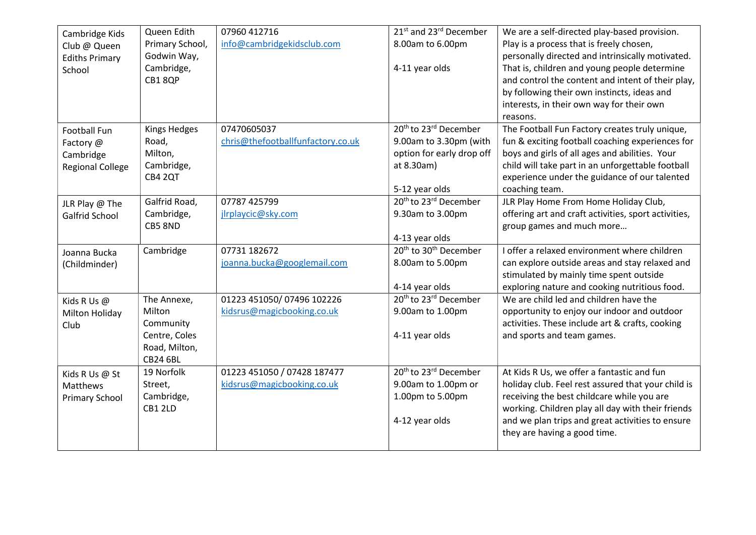<span id="page-6-5"></span><span id="page-6-4"></span><span id="page-6-3"></span><span id="page-6-2"></span><span id="page-6-1"></span><span id="page-6-0"></span>

| Cambridge Kids          | Queen Edith         | 07960 412716                      | 21 <sup>st</sup> and 23 <sup>rd</sup> December | We are a self-directed play-based provision.         |
|-------------------------|---------------------|-----------------------------------|------------------------------------------------|------------------------------------------------------|
| Club @ Queen            | Primary School,     | info@cambridgekidsclub.com        | 8.00am to 6.00pm                               | Play is a process that is freely chosen,             |
| <b>Ediths Primary</b>   | Godwin Way,         |                                   |                                                | personally directed and intrinsically motivated.     |
| School                  | Cambridge,          |                                   | 4-11 year olds                                 | That is, children and young people determine         |
|                         | CB18QP              |                                   |                                                | and control the content and intent of their play,    |
|                         |                     |                                   |                                                | by following their own instincts, ideas and          |
|                         |                     |                                   |                                                | interests, in their own way for their own            |
|                         |                     |                                   |                                                | reasons.                                             |
| Football Fun            | <b>Kings Hedges</b> | 07470605037                       | 20 <sup>th</sup> to 23 <sup>rd</sup> December  | The Football Fun Factory creates truly unique,       |
| Factory @               | Road,               | chris@thefootballfunfactory.co.uk | 9.00am to 3.30pm (with                         | fun & exciting football coaching experiences for     |
| Cambridge               | Milton,             |                                   | option for early drop off                      | boys and girls of all ages and abilities. Your       |
| <b>Regional College</b> | Cambridge,          |                                   | at 8.30am)                                     | child will take part in an unforgettable football    |
|                         | CB4 2QT             |                                   |                                                | experience under the guidance of our talented        |
|                         |                     |                                   | 5-12 year olds                                 | coaching team.                                       |
| JLR Play @ The          | Galfrid Road,       | 07787 425799                      | 20 <sup>th</sup> to 23 <sup>rd</sup> December  | JLR Play Home From Home Holiday Club,                |
| Galfrid School          | Cambridge,          | jlrplaycic@sky.com                | 9.30am to 3.00pm                               | offering art and craft activities, sport activities, |
|                         | CB5 8ND             |                                   |                                                | group games and much more                            |
|                         |                     |                                   | 4-13 year olds                                 |                                                      |
| Joanna Bucka            | Cambridge           | 07731 182672                      | 20 <sup>th</sup> to 30 <sup>th</sup> December  | I offer a relaxed environment where children         |
| (Childminder)           |                     | joanna.bucka@googlemail.com       | 8.00am to 5.00pm                               | can explore outside areas and stay relaxed and       |
|                         |                     |                                   |                                                | stimulated by mainly time spent outside              |
|                         |                     |                                   | 4-14 year olds                                 | exploring nature and cooking nutritious food.        |
| Kids R Us @             | The Annexe,         | 01223 451050/07496 102226         | 20 <sup>th</sup> to 23 <sup>rd</sup> December  | We are child led and children have the               |
| Milton Holiday          | Milton              | kidsrus@magicbooking.co.uk        | 9.00am to 1.00pm                               | opportunity to enjoy our indoor and outdoor          |
| Club                    | Community           |                                   |                                                | activities. These include art & crafts, cooking      |
|                         | Centre, Coles       |                                   | 4-11 year olds                                 | and sports and team games.                           |
|                         | Road, Milton,       |                                   |                                                |                                                      |
|                         | <b>CB24 6BL</b>     |                                   |                                                |                                                      |
| Kids R Us @ St          | 19 Norfolk          | 01223 451050 / 07428 187477       | 20 <sup>th</sup> to 23 <sup>rd</sup> December  | At Kids R Us, we offer a fantastic and fun           |
| Matthews                | Street,             | kidsrus@magicbooking.co.uk        | 9.00am to 1.00pm or                            | holiday club. Feel rest assured that your child is   |
| <b>Primary School</b>   | Cambridge,          |                                   | 1.00pm to 5.00pm                               | receiving the best childcare while you are           |
|                         | CB1 2LD             |                                   |                                                | working. Children play all day with their friends    |
|                         |                     |                                   | 4-12 year olds                                 | and we plan trips and great activities to ensure     |
|                         |                     |                                   |                                                | they are having a good time.                         |
|                         |                     |                                   |                                                |                                                      |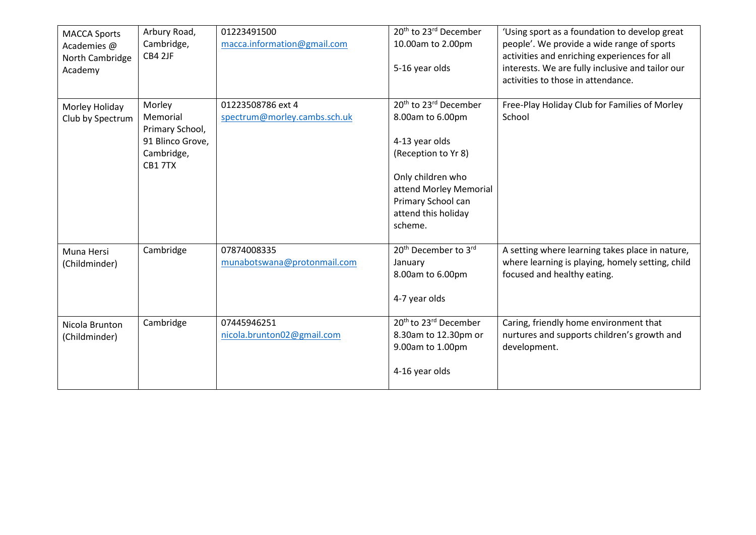<span id="page-7-3"></span><span id="page-7-2"></span><span id="page-7-1"></span><span id="page-7-0"></span>

| <b>MACCA Sports</b><br>Academies @<br>North Cambridge<br>Academy | Arbury Road,<br>Cambridge,<br>CB4 2JF                                             | 01223491500<br>macca.information@gmail.com        | 20 <sup>th</sup> to 23 <sup>rd</sup> December<br>10.00am to 2.00pm<br>5-16 year olds                                                                                                                              | 'Using sport as a foundation to develop great<br>people'. We provide a wide range of sports<br>activities and enriching experiences for all<br>interests. We are fully inclusive and tailor our<br>activities to those in attendance. |
|------------------------------------------------------------------|-----------------------------------------------------------------------------------|---------------------------------------------------|-------------------------------------------------------------------------------------------------------------------------------------------------------------------------------------------------------------------|---------------------------------------------------------------------------------------------------------------------------------------------------------------------------------------------------------------------------------------|
| Morley Holiday<br>Club by Spectrum                               | Morley<br>Memorial<br>Primary School,<br>91 Blinco Grove,<br>Cambridge,<br>CB17TX | 01223508786 ext 4<br>spectrum@morley.cambs.sch.uk | 20 <sup>th</sup> to 23 <sup>rd</sup> December<br>8.00am to 6.00pm<br>4-13 year olds<br>(Reception to Yr 8)<br>Only children who<br>attend Morley Memorial<br>Primary School can<br>attend this holiday<br>scheme. | Free-Play Holiday Club for Families of Morley<br>School                                                                                                                                                                               |
| Muna Hersi<br>(Childminder)                                      | Cambridge                                                                         | 07874008335<br>munabotswana@protonmail.com        | 20 <sup>th</sup> December to 3rd<br>January<br>8.00am to 6.00pm<br>4-7 year olds                                                                                                                                  | A setting where learning takes place in nature,<br>where learning is playing, homely setting, child<br>focused and healthy eating.                                                                                                    |
| Nicola Brunton<br>(Childminder)                                  | Cambridge                                                                         | 07445946251<br>nicola.brunton02@gmail.com         | 20 <sup>th</sup> to 23 <sup>rd</sup> December<br>8.30am to 12.30pm or<br>9.00am to 1.00pm<br>4-16 year olds                                                                                                       | Caring, friendly home environment that<br>nurtures and supports children's growth and<br>development.                                                                                                                                 |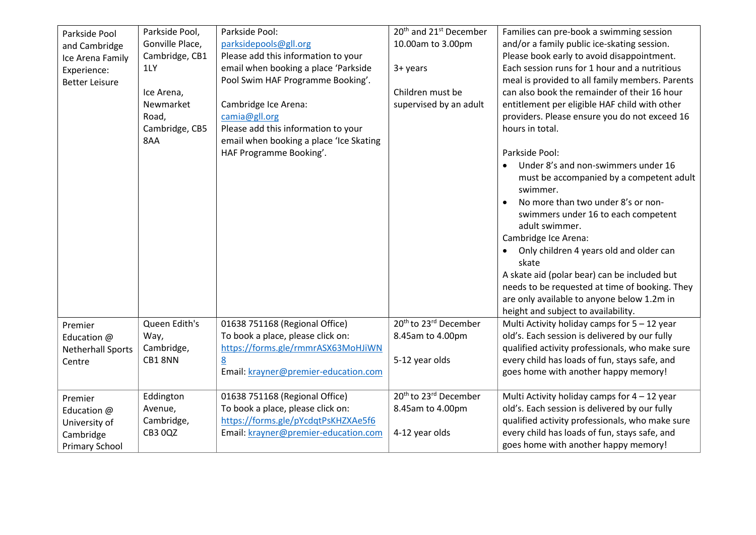<span id="page-8-2"></span><span id="page-8-1"></span><span id="page-8-0"></span>

| Parkside Pool            | Parkside Pool,  | Parkside Pool:                          | 20 <sup>th</sup> and 21 <sup>st</sup> December | Families can pre-book a swimming session                      |
|--------------------------|-----------------|-----------------------------------------|------------------------------------------------|---------------------------------------------------------------|
| and Cambridge            | Gonville Place, | parksidepools@gll.org                   | 10.00am to 3.00pm                              | and/or a family public ice-skating session.                   |
| Ice Arena Family         | Cambridge, CB1  | Please add this information to your     |                                                | Please book early to avoid disappointment.                    |
| Experience:              | 1LY             | email when booking a place 'Parkside    | 3+ years                                       | Each session runs for 1 hour and a nutritious                 |
| <b>Better Leisure</b>    |                 | Pool Swim HAF Programme Booking'.       |                                                | meal is provided to all family members. Parents               |
|                          | Ice Arena,      |                                         | Children must be                               | can also book the remainder of their 16 hour                  |
|                          | Newmarket       | Cambridge Ice Arena:                    | supervised by an adult                         | entitlement per eligible HAF child with other                 |
|                          | Road,           | camia@gll.org                           |                                                | providers. Please ensure you do not exceed 16                 |
|                          | Cambridge, CB5  | Please add this information to your     |                                                | hours in total.                                               |
|                          | 8AA             | email when booking a place 'Ice Skating |                                                |                                                               |
|                          |                 | HAF Programme Booking'.                 |                                                | Parkside Pool:                                                |
|                          |                 |                                         |                                                | Under 8's and non-swimmers under 16<br>$\bullet$              |
|                          |                 |                                         |                                                | must be accompanied by a competent adult<br>swimmer.          |
|                          |                 |                                         |                                                | No more than two under 8's or non-                            |
|                          |                 |                                         |                                                | swimmers under 16 to each competent                           |
|                          |                 |                                         |                                                | adult swimmer.                                                |
|                          |                 |                                         |                                                | Cambridge Ice Arena:                                          |
|                          |                 |                                         |                                                | Only children 4 years old and older can<br>$\bullet$<br>skate |
|                          |                 |                                         |                                                | A skate aid (polar bear) can be included but                  |
|                          |                 |                                         |                                                | needs to be requested at time of booking. They                |
|                          |                 |                                         |                                                | are only available to anyone below 1.2m in                    |
|                          |                 |                                         |                                                | height and subject to availability.                           |
| Premier                  | Queen Edith's   | 01638 751168 (Regional Office)          | 20 <sup>th</sup> to 23 <sup>rd</sup> December  | Multi Activity holiday camps for $5 - 12$ year                |
| Education $@$            | Way,            | To book a place, please click on:       | 8.45am to 4.00pm                               | old's. Each session is delivered by our fully                 |
| <b>Netherhall Sports</b> | Cambridge,      | https://forms.gle/rmmrASX63MoHJiWN      |                                                | qualified activity professionals, who make sure               |
| Centre                   | CB18NN          | 8                                       | 5-12 year olds                                 | every child has loads of fun, stays safe, and                 |
|                          |                 | Email: krayner@premier-education.com    |                                                | goes home with another happy memory!                          |
| Premier                  | Eddington       | 01638 751168 (Regional Office)          | 20 <sup>th</sup> to 23 <sup>rd</sup> December  | Multi Activity holiday camps for $4 - 12$ year                |
| Education @              | Avenue,         | To book a place, please click on:       | 8.45am to 4.00pm                               | old's. Each session is delivered by our fully                 |
| University of            | Cambridge,      | https://forms.gle/pYcdqtPsKHZXAe5f6     |                                                | qualified activity professionals, who make sure               |
| Cambridge                | <b>CB3 0QZ</b>  | Email: krayner@premier-education.com    | 4-12 year olds                                 | every child has loads of fun, stays safe, and                 |
| <b>Primary School</b>    |                 |                                         |                                                | goes home with another happy memory!                          |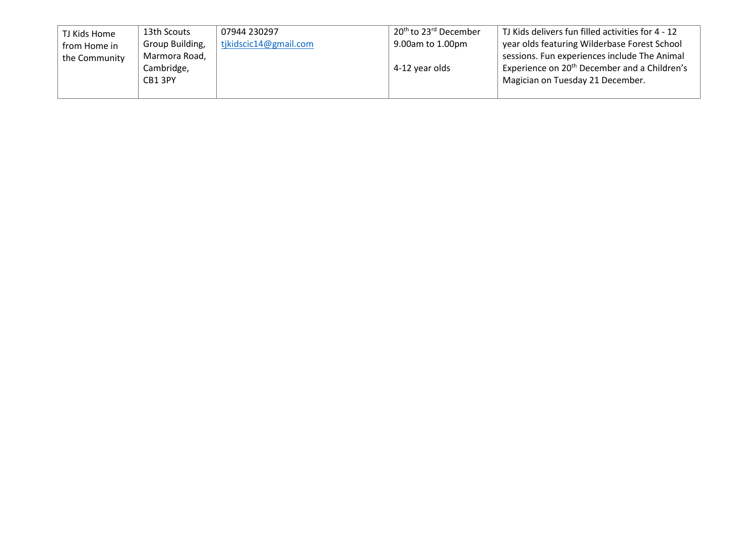<span id="page-9-0"></span>

| TJ Kids Home  | 13th Scouts     | 07944 230297          | 20 <sup>th</sup> to 23 <sup>rd</sup> December | TJ Kids delivers fun filled activities for 4 - 12        |
|---------------|-----------------|-----------------------|-----------------------------------------------|----------------------------------------------------------|
| from Home in  | Group Building, | tjkidscic14@gmail.com | 9.00am to 1.00pm                              | year olds featuring Wilderbase Forest School             |
| the Community | Marmora Road,   |                       |                                               | sessions. Fun experiences include The Animal             |
|               | Cambridge,      |                       | 4-12 year olds                                | Experience on 20 <sup>th</sup> December and a Children's |
|               | CB1 3PY         |                       |                                               | Magician on Tuesday 21 December.                         |
|               |                 |                       |                                               |                                                          |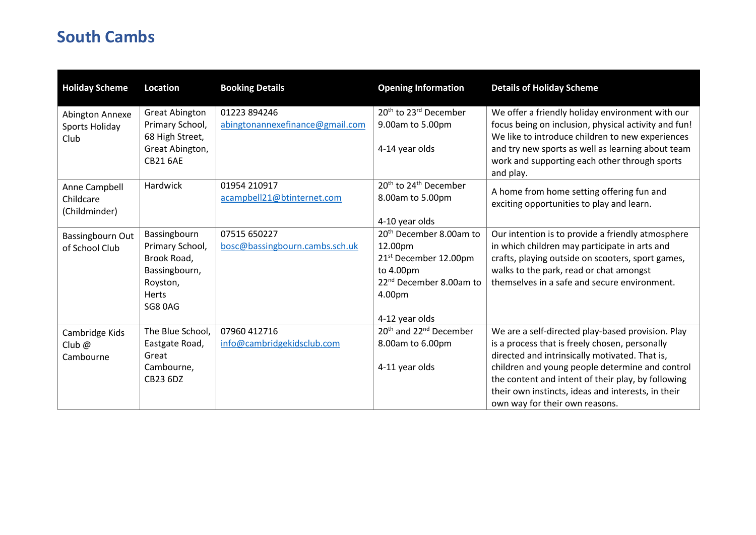## <span id="page-10-0"></span>**South Cambs**

<span id="page-10-4"></span><span id="page-10-3"></span><span id="page-10-2"></span><span id="page-10-1"></span>

| <b>Holiday Scheme</b>      | <b>Location</b>       | <b>Booking Details</b>          | <b>Opening Information</b>                     | <b>Details of Holiday Scheme</b>                     |
|----------------------------|-----------------------|---------------------------------|------------------------------------------------|------------------------------------------------------|
| Abington Annexe            | <b>Great Abington</b> | 01223 894246                    | 20 <sup>th</sup> to 23 <sup>rd</sup> December  | We offer a friendly holiday environment with our     |
| Sports Holiday             | Primary School,       | abingtonannexefinance@gmail.com | 9.00am to 5.00pm                               | focus being on inclusion, physical activity and fun! |
| Club                       | 68 High Street,       |                                 |                                                | We like to introduce children to new experiences     |
|                            | Great Abington,       |                                 | 4-14 year olds                                 | and try new sports as well as learning about team    |
|                            | <b>CB21 6AE</b>       |                                 |                                                | work and supporting each other through sports        |
|                            |                       |                                 |                                                | and play.                                            |
| Anne Campbell              | Hardwick              | 01954 210917                    | 20 <sup>th</sup> to 24 <sup>th</sup> December  | A home from home setting offering fun and            |
| Childcare<br>(Childminder) |                       | acampbell21@btinternet.com      | 8.00am to 5.00pm                               | exciting opportunities to play and learn.            |
|                            |                       |                                 | 4-10 year olds                                 |                                                      |
| Bassingbourn Out           | Bassingbourn          | 07515 650227                    | 20 <sup>th</sup> December 8.00am to            | Our intention is to provide a friendly atmosphere    |
| of School Club             | Primary School,       | bosc@bassingbourn.cambs.sch.uk  | 12.00pm                                        | in which children may participate in arts and        |
|                            | Brook Road,           |                                 | 21 <sup>st</sup> December 12.00pm              | crafts, playing outside on scooters, sport games,    |
|                            | Bassingbourn,         |                                 | to 4.00pm                                      | walks to the park, read or chat amongst              |
|                            | Royston,              |                                 | 22 <sup>nd</sup> December 8.00am to            | themselves in a safe and secure environment.         |
|                            | Herts                 |                                 | 4.00pm                                         |                                                      |
|                            | <b>SG8 0AG</b>        |                                 |                                                |                                                      |
|                            |                       |                                 | 4-12 year olds                                 |                                                      |
| Cambridge Kids             | The Blue School,      | 07960 412716                    | 20 <sup>th</sup> and 22 <sup>nd</sup> December | We are a self-directed play-based provision. Play    |
| Club $@$                   | Eastgate Road,        | info@cambridgekidsclub.com      | 8.00am to 6.00pm                               | is a process that is freely chosen, personally       |
| Cambourne                  | Great                 |                                 |                                                | directed and intrinsically motivated. That is,       |
|                            | Cambourne,            |                                 | 4-11 year olds                                 | children and young people determine and control      |
|                            | CB23 6DZ              |                                 |                                                | the content and intent of their play, by following   |
|                            |                       |                                 |                                                | their own instincts, ideas and interests, in their   |
|                            |                       |                                 |                                                | own way for their own reasons.                       |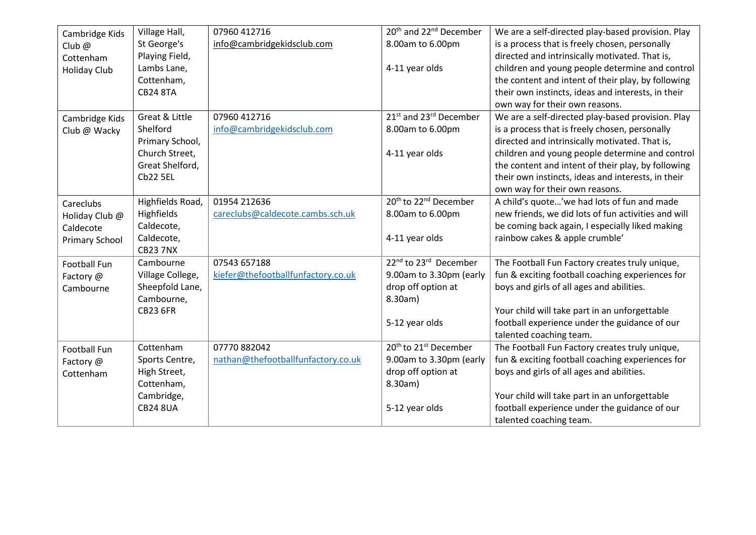<span id="page-11-4"></span><span id="page-11-3"></span><span id="page-11-2"></span><span id="page-11-1"></span><span id="page-11-0"></span>

| Cambridge Kids         | Village Hall,                 | 07960 412716                       | 20 <sup>th</sup> and 22 <sup>nd</sup> December | We are a self-directed play-based provision. Play   |
|------------------------|-------------------------------|------------------------------------|------------------------------------------------|-----------------------------------------------------|
| Club $@$               | St George's                   | info@cambridgekidsclub.com         | 8.00am to 6.00pm                               | is a process that is freely chosen, personally      |
| Cottenham              | Playing Field,                |                                    |                                                | directed and intrinsically motivated. That is,      |
| <b>Holiday Club</b>    | Lambs Lane,                   |                                    | 4-11 year olds                                 | children and young people determine and control     |
|                        | Cottenham,                    |                                    |                                                | the content and intent of their play, by following  |
|                        | <b>CB24 8TA</b>               |                                    |                                                | their own instincts, ideas and interests, in their  |
|                        |                               |                                    |                                                | own way for their own reasons.                      |
| Cambridge Kids         | Great & Little                | 07960 412716                       | 21 <sup>st</sup> and 23 <sup>rd</sup> December | We are a self-directed play-based provision. Play   |
| Club @ Wacky           | Shelford                      | info@cambridgekidsclub.com         | 8.00am to 6.00pm                               | is a process that is freely chosen, personally      |
|                        | Primary School,               |                                    |                                                | directed and intrinsically motivated. That is,      |
|                        | Church Street,                |                                    | 4-11 year olds                                 | children and young people determine and control     |
|                        | Great Shelford,               |                                    |                                                | the content and intent of their play, by following  |
|                        | <b>Cb22 5EL</b>               |                                    |                                                | their own instincts, ideas and interests, in their  |
|                        |                               |                                    |                                                | own way for their own reasons.                      |
| Careclubs              | Highfields Road,              | 01954 212636                       | 20 <sup>th</sup> to 22 <sup>nd</sup> December  | A child's quote'we had lots of fun and made         |
| Holiday Club @         | Highfields                    | careclubs@caldecote.cambs.sch.uk   | 8.00am to 6.00pm                               | new friends, we did lots of fun activities and will |
| Caldecote              | Caldecote,                    |                                    |                                                | be coming back again, I especially liked making     |
| <b>Primary School</b>  | Caldecote,<br><b>CB23 7NX</b> |                                    | 4-11 year olds                                 | rainbow cakes & apple crumble'                      |
|                        | Cambourne                     | 07543 657188                       | 22 <sup>nd</sup> to 23 <sup>rd</sup> December  | The Football Fun Factory creates truly unique,      |
| Football Fun           | Village College,              | kiefer@thefootballfunfactory.co.uk | 9.00am to 3.30pm (early                        | fun & exciting football coaching experiences for    |
| Factory @<br>Cambourne | Sheepfold Lane,               |                                    | drop off option at                             | boys and girls of all ages and abilities.           |
|                        | Cambourne,                    |                                    | 8.30am)                                        |                                                     |
|                        | <b>CB23 6FR</b>               |                                    |                                                | Your child will take part in an unforgettable       |
|                        |                               |                                    | 5-12 year olds                                 | football experience under the guidance of our       |
|                        |                               |                                    |                                                | talented coaching team.                             |
| Football Fun           | Cottenham                     | 07770 882042                       | 20 <sup>th</sup> to 21 <sup>st</sup> December  | The Football Fun Factory creates truly unique,      |
| Factory @              | Sports Centre,                | nathan@thefootballfunfactory.co.uk | 9.00am to 3.30pm (early                        | fun & exciting football coaching experiences for    |
| Cottenham              | High Street,                  |                                    | drop off option at                             | boys and girls of all ages and abilities.           |
|                        | Cottenham,                    |                                    | 8.30am)                                        |                                                     |
|                        | Cambridge,                    |                                    |                                                | Your child will take part in an unforgettable       |
|                        | <b>CB24 8UA</b>               |                                    | 5-12 year olds                                 | football experience under the guidance of our       |
|                        |                               |                                    |                                                | talented coaching team.                             |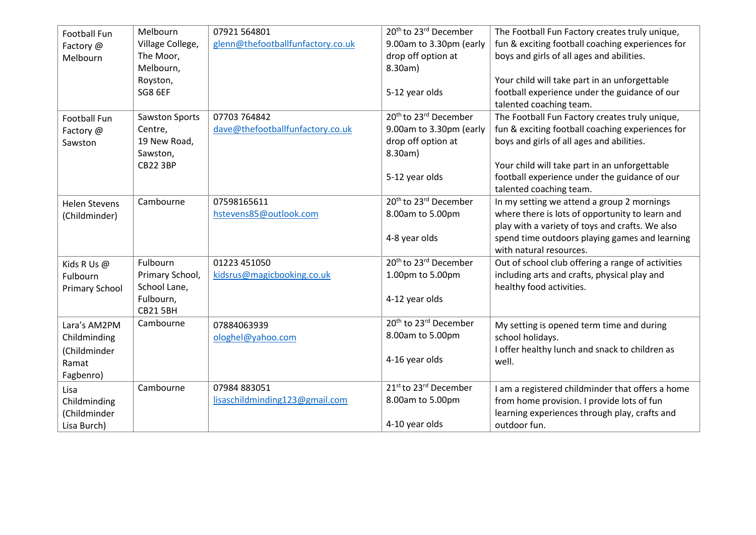<span id="page-12-6"></span><span id="page-12-5"></span><span id="page-12-4"></span><span id="page-12-3"></span><span id="page-12-2"></span><span id="page-12-1"></span><span id="page-12-0"></span>

| Football Fun          | Melbourn              | 07921 564801                      | 20 <sup>th</sup> to 23 <sup>rd</sup> December | The Football Fun Factory creates truly unique,    |
|-----------------------|-----------------------|-----------------------------------|-----------------------------------------------|---------------------------------------------------|
| Factory @             | Village College,      | glenn@thefootballfunfactory.co.uk | 9.00am to 3.30pm (early                       | fun & exciting football coaching experiences for  |
| Melbourn              | The Moor,             |                                   | drop off option at                            | boys and girls of all ages and abilities.         |
|                       | Melbourn,             |                                   | 8.30am)                                       |                                                   |
|                       | Royston,              |                                   |                                               | Your child will take part in an unforgettable     |
|                       | <b>SG8 6EF</b>        |                                   | 5-12 year olds                                | football experience under the guidance of our     |
|                       |                       |                                   |                                               | talented coaching team.                           |
| Football Fun          | <b>Sawston Sports</b> | 07703 764842                      | 20 <sup>th</sup> to 23 <sup>rd</sup> December | The Football Fun Factory creates truly unique,    |
| Factory @             | Centre,               | dave@thefootballfunfactory.co.uk  | 9.00am to 3.30pm (early                       | fun & exciting football coaching experiences for  |
| Sawston               | 19 New Road,          |                                   | drop off option at                            | boys and girls of all ages and abilities.         |
|                       | Sawston,              |                                   | 8.30am)                                       |                                                   |
|                       | <b>CB22 3BP</b>       |                                   |                                               | Your child will take part in an unforgettable     |
|                       |                       |                                   | 5-12 year olds                                | football experience under the guidance of our     |
|                       |                       |                                   |                                               | talented coaching team.                           |
| <b>Helen Stevens</b>  | Cambourne             | 07598165611                       | 20 <sup>th</sup> to 23 <sup>rd</sup> December | In my setting we attend a group 2 mornings        |
| (Childminder)         |                       | hstevens85@outlook.com            | 8.00am to 5.00pm                              | where there is lots of opportunity to learn and   |
|                       |                       |                                   |                                               | play with a variety of toys and crafts. We also   |
|                       |                       |                                   | 4-8 year olds                                 | spend time outdoors playing games and learning    |
|                       |                       |                                   |                                               | with natural resources.                           |
| Kids R Us @           | Fulbourn              | 01223 451050                      | 20 <sup>th</sup> to 23 <sup>rd</sup> December | Out of school club offering a range of activities |
| Fulbourn              | Primary School,       | kidsrus@magicbooking.co.uk        | 1.00pm to 5.00pm                              | including arts and crafts, physical play and      |
| <b>Primary School</b> | School Lane,          |                                   |                                               | healthy food activities.                          |
|                       | Fulbourn,             |                                   | 4-12 year olds                                |                                                   |
|                       | <b>CB215BH</b>        |                                   |                                               |                                                   |
| Lara's AM2PM          | Cambourne             | 07884063939                       | 20 <sup>th</sup> to 23 <sup>rd</sup> December | My setting is opened term time and during         |
| Childminding          |                       | ologhel@yahoo.com                 | 8.00am to 5.00pm                              | school holidays.                                  |
| (Childminder          |                       |                                   |                                               | I offer healthy lunch and snack to children as    |
| Ramat                 |                       |                                   | 4-16 year olds                                | well.                                             |
| Fagbenro)             |                       |                                   |                                               |                                                   |
| Lisa                  | Cambourne             | 07984 883051                      | 21st to 23rd December                         | I am a registered childminder that offers a home  |
| Childminding          |                       | lisaschildminding123@gmail.com    | 8.00am to 5.00pm                              | from home provision. I provide lots of fun        |
| (Childminder          |                       |                                   |                                               | learning experiences through play, crafts and     |
| Lisa Burch)           |                       |                                   | 4-10 year olds                                | outdoor fun.                                      |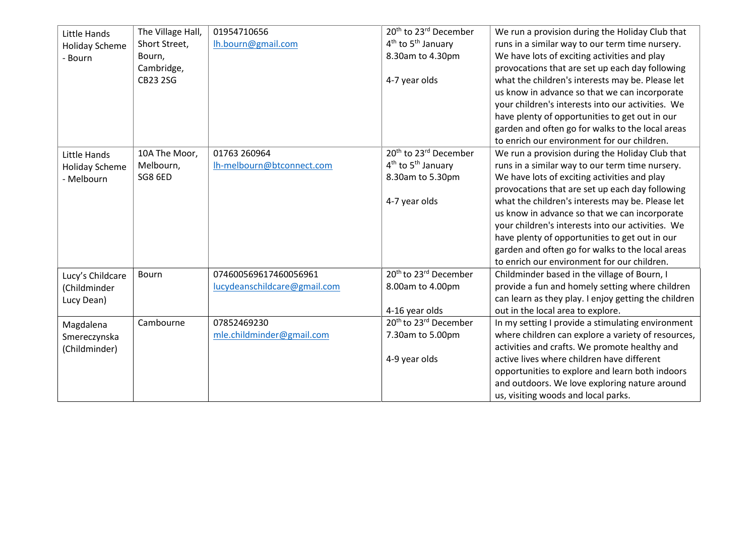<span id="page-13-3"></span><span id="page-13-2"></span><span id="page-13-1"></span><span id="page-13-0"></span>

| Little Hands<br><b>Holiday Scheme</b><br>- Bourn | The Village Hall,<br>Short Street,<br>Bourn,<br>Cambridge,<br><b>CB23 2SG</b> | 01954710656<br>lh.bourn@gmail.com | 20 <sup>th</sup> to 23 <sup>rd</sup> December<br>4 <sup>th</sup> to 5 <sup>th</sup> January<br>8.30am to 4.30pm<br>4-7 year olds | We run a provision during the Holiday Club that<br>runs in a similar way to our term time nursery.<br>We have lots of exciting activities and play<br>provocations that are set up each day following<br>what the children's interests may be. Please let<br>us know in advance so that we can incorporate<br>your children's interests into our activities. We<br>have plenty of opportunities to get out in our<br>garden and often go for walks to the local areas |
|--------------------------------------------------|-------------------------------------------------------------------------------|-----------------------------------|----------------------------------------------------------------------------------------------------------------------------------|-----------------------------------------------------------------------------------------------------------------------------------------------------------------------------------------------------------------------------------------------------------------------------------------------------------------------------------------------------------------------------------------------------------------------------------------------------------------------|
|                                                  |                                                                               |                                   |                                                                                                                                  | to enrich our environment for our children.                                                                                                                                                                                                                                                                                                                                                                                                                           |
| Little Hands                                     | 10A The Moor,                                                                 | 01763 260964                      | 20 <sup>th</sup> to 23 <sup>rd</sup> December                                                                                    | We run a provision during the Holiday Club that                                                                                                                                                                                                                                                                                                                                                                                                                       |
| <b>Holiday Scheme</b>                            | Melbourn,                                                                     | lh-melbourn@btconnect.com         | 4 <sup>th</sup> to 5 <sup>th</sup> January                                                                                       | runs in a similar way to our term time nursery.                                                                                                                                                                                                                                                                                                                                                                                                                       |
| - Melbourn                                       | <b>SG8 6ED</b>                                                                |                                   | 8.30am to 5.30pm                                                                                                                 | We have lots of exciting activities and play                                                                                                                                                                                                                                                                                                                                                                                                                          |
|                                                  |                                                                               |                                   |                                                                                                                                  | provocations that are set up each day following                                                                                                                                                                                                                                                                                                                                                                                                                       |
|                                                  |                                                                               |                                   | 4-7 year olds                                                                                                                    | what the children's interests may be. Please let                                                                                                                                                                                                                                                                                                                                                                                                                      |
|                                                  |                                                                               |                                   |                                                                                                                                  | us know in advance so that we can incorporate                                                                                                                                                                                                                                                                                                                                                                                                                         |
|                                                  |                                                                               |                                   |                                                                                                                                  | your children's interests into our activities. We                                                                                                                                                                                                                                                                                                                                                                                                                     |
|                                                  |                                                                               |                                   |                                                                                                                                  | have plenty of opportunities to get out in our                                                                                                                                                                                                                                                                                                                                                                                                                        |
|                                                  |                                                                               |                                   |                                                                                                                                  | garden and often go for walks to the local areas                                                                                                                                                                                                                                                                                                                                                                                                                      |
|                                                  |                                                                               |                                   |                                                                                                                                  | to enrich our environment for our children.                                                                                                                                                                                                                                                                                                                                                                                                                           |
| Lucy's Childcare                                 | Bourn                                                                         | 074600569617460056961             | 20 <sup>th</sup> to 23 <sup>rd</sup> December                                                                                    | Childminder based in the village of Bourn, I                                                                                                                                                                                                                                                                                                                                                                                                                          |
| (Childminder                                     |                                                                               | lucydeanschildcare@gmail.com      | 8.00am to 4.00pm                                                                                                                 | provide a fun and homely setting where children                                                                                                                                                                                                                                                                                                                                                                                                                       |
| Lucy Dean)                                       |                                                                               |                                   |                                                                                                                                  | can learn as they play. I enjoy getting the children                                                                                                                                                                                                                                                                                                                                                                                                                  |
|                                                  |                                                                               |                                   | 4-16 year olds                                                                                                                   | out in the local area to explore.                                                                                                                                                                                                                                                                                                                                                                                                                                     |
| Magdalena                                        | Cambourne                                                                     | 07852469230                       | 20 <sup>th</sup> to 23 <sup>rd</sup> December                                                                                    | In my setting I provide a stimulating environment                                                                                                                                                                                                                                                                                                                                                                                                                     |
| Smereczynska                                     |                                                                               | mle.childminder@gmail.com         | 7.30am to 5.00pm                                                                                                                 | where children can explore a variety of resources,                                                                                                                                                                                                                                                                                                                                                                                                                    |
| (Childminder)                                    |                                                                               |                                   |                                                                                                                                  | activities and crafts. We promote healthy and                                                                                                                                                                                                                                                                                                                                                                                                                         |
|                                                  |                                                                               |                                   | 4-9 year olds                                                                                                                    | active lives where children have different                                                                                                                                                                                                                                                                                                                                                                                                                            |
|                                                  |                                                                               |                                   |                                                                                                                                  | opportunities to explore and learn both indoors                                                                                                                                                                                                                                                                                                                                                                                                                       |
|                                                  |                                                                               |                                   |                                                                                                                                  | and outdoors. We love exploring nature around                                                                                                                                                                                                                                                                                                                                                                                                                         |
|                                                  |                                                                               |                                   |                                                                                                                                  | us, visiting woods and local parks.                                                                                                                                                                                                                                                                                                                                                                                                                                   |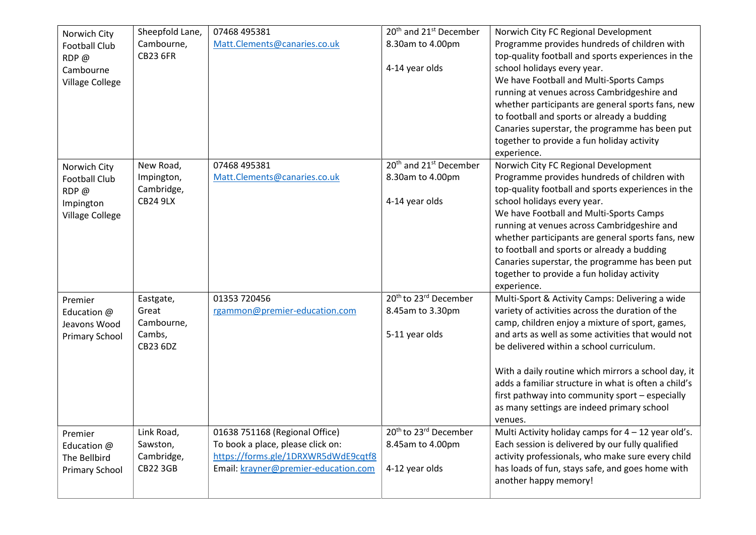<span id="page-14-3"></span><span id="page-14-2"></span><span id="page-14-1"></span><span id="page-14-0"></span>

| Norwich City<br><b>Football Club</b><br>RDP@<br>Cambourne<br><b>Village College</b> | Sheepfold Lane,<br>Cambourne,<br><b>CB23 6FR</b>              | 07468 495381<br>Matt.Clements@canaries.co.uk                                                                                                       | 20 <sup>th</sup> and 21 <sup>st</sup> December<br>8.30am to 4.00pm<br>4-14 year olds | Norwich City FC Regional Development<br>Programme provides hundreds of children with<br>top-quality football and sports experiences in the<br>school holidays every year.<br>We have Football and Multi-Sports Camps<br>running at venues across Cambridgeshire and<br>whether participants are general sports fans, new<br>to football and sports or already a budding<br>Canaries superstar, the programme has been put<br>together to provide a fun holiday activity<br>experience. |
|-------------------------------------------------------------------------------------|---------------------------------------------------------------|----------------------------------------------------------------------------------------------------------------------------------------------------|--------------------------------------------------------------------------------------|----------------------------------------------------------------------------------------------------------------------------------------------------------------------------------------------------------------------------------------------------------------------------------------------------------------------------------------------------------------------------------------------------------------------------------------------------------------------------------------|
| Norwich City<br><b>Football Club</b><br>RDP@<br>Impington<br><b>Village College</b> | New Road,<br>Impington,<br>Cambridge,<br><b>CB24 9LX</b>      | 07468 495381<br>Matt.Clements@canaries.co.uk                                                                                                       | 20 <sup>th</sup> and 21 <sup>st</sup> December<br>8.30am to 4.00pm<br>4-14 year olds | Norwich City FC Regional Development<br>Programme provides hundreds of children with<br>top-quality football and sports experiences in the<br>school holidays every year.<br>We have Football and Multi-Sports Camps<br>running at venues across Cambridgeshire and<br>whether participants are general sports fans, new<br>to football and sports or already a budding<br>Canaries superstar, the programme has been put<br>together to provide a fun holiday activity<br>experience. |
| Premier<br>Education @<br>Jeavons Wood<br><b>Primary School</b>                     | Eastgate,<br>Great<br>Cambourne,<br>Cambs,<br><b>CB23 6DZ</b> | 01353 720456<br>rgammon@premier-education.com                                                                                                      | 20 <sup>th</sup> to 23 <sup>rd</sup> December<br>8.45am to 3.30pm<br>5-11 year olds  | Multi-Sport & Activity Camps: Delivering a wide<br>variety of activities across the duration of the<br>camp, children enjoy a mixture of sport, games,<br>and arts as well as some activities that would not<br>be delivered within a school curriculum.<br>With a daily routine which mirrors a school day, it<br>adds a familiar structure in what is often a child's<br>first pathway into community sport - especially<br>as many settings are indeed primary school<br>venues.    |
| Premier<br>Education @<br>The Bellbird<br><b>Primary School</b>                     | Link Road,<br>Sawston,<br>Cambridge,<br><b>CB22 3GB</b>       | 01638 751168 (Regional Office)<br>To book a place, please click on:<br>https://forms.gle/1DRXWR5dWdE9cqtf8<br>Email: krayner@premier-education.com | 20 <sup>th</sup> to 23 <sup>rd</sup> December<br>8.45am to 4.00pm<br>4-12 year olds  | Multi Activity holiday camps for $4 - 12$ year old's.<br>Each session is delivered by our fully qualified<br>activity professionals, who make sure every child<br>has loads of fun, stays safe, and goes home with<br>another happy memory!                                                                                                                                                                                                                                            |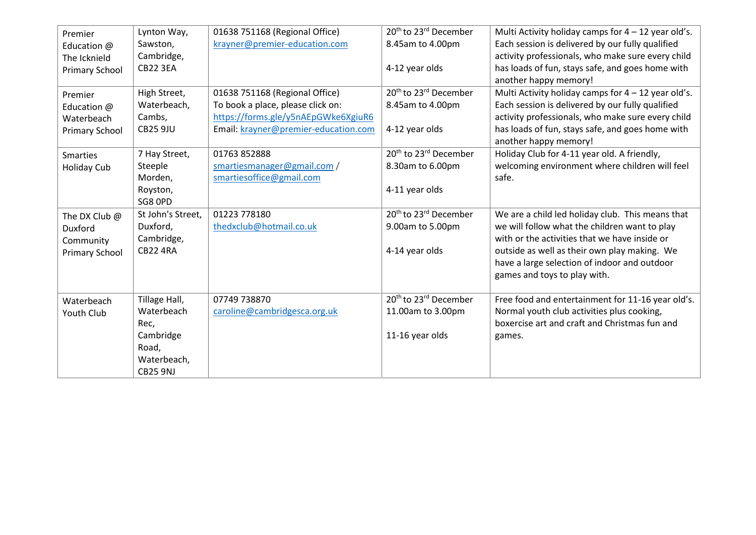<span id="page-15-4"></span><span id="page-15-3"></span><span id="page-15-2"></span><span id="page-15-1"></span><span id="page-15-0"></span>

| Premier               | Lynton Way,       | 01638 751168 (Regional Office)       | 20 <sup>th</sup> to 23 <sup>rd</sup> December | Multi Activity holiday camps for $4 - 12$ year old's. |
|-----------------------|-------------------|--------------------------------------|-----------------------------------------------|-------------------------------------------------------|
| Education @           | Sawston,          | krayner@premier-education.com        | 8.45am to 4.00pm                              | Each session is delivered by our fully qualified      |
| The Icknield          | Cambridge,        |                                      |                                               | activity professionals, who make sure every child     |
| <b>Primary School</b> | <b>CB22 3EA</b>   |                                      | 4-12 year olds                                | has loads of fun, stays safe, and goes home with      |
|                       |                   |                                      |                                               | another happy memory!                                 |
| Premier               | High Street,      | 01638 751168 (Regional Office)       | 20 <sup>th</sup> to 23 <sup>rd</sup> December | Multi Activity holiday camps for $4 - 12$ year old's. |
| Education @           | Waterbeach,       | To book a place, please click on:    | 8.45am to 4.00pm                              | Each session is delivered by our fully qualified      |
| Waterbeach            | Cambs,            | https://forms.gle/y5nAEpGWke6XgiuR6  |                                               | activity professionals, who make sure every child     |
| <b>Primary School</b> | <b>CB25 9JU</b>   | Email: krayner@premier-education.com | 4-12 year olds                                | has loads of fun, stays safe, and goes home with      |
|                       |                   |                                      |                                               | another happy memory!                                 |
| <b>Smarties</b>       | 7 Hay Street,     | 01763 852888                         | 20 <sup>th</sup> to 23 <sup>rd</sup> December | Holiday Club for 4-11 year old. A friendly,           |
| <b>Holiday Cub</b>    | Steeple           | smartiesmanager@gmail.com /          | 8.30am to 6.00pm                              | welcoming environment where children will feel        |
|                       | Morden,           | smartiesoffice@gmail.com             |                                               | safe.                                                 |
|                       | Royston,          |                                      | 4-11 year olds                                |                                                       |
|                       | SG8 OPD           |                                      |                                               |                                                       |
| The DX Club @         | St John's Street, | 01223 778180                         | 20 <sup>th</sup> to 23 <sup>rd</sup> December | We are a child led holiday club. This means that      |
| Duxford               | Duxford,          | thedxclub@hotmail.co.uk              | 9.00am to 5.00pm                              | we will follow what the children want to play         |
| Community             | Cambridge,        |                                      |                                               | with or the activities that we have inside or         |
| <b>Primary School</b> | <b>CB22 4RA</b>   |                                      | 4-14 year olds                                | outside as well as their own play making. We          |
|                       |                   |                                      |                                               | have a large selection of indoor and outdoor          |
|                       |                   |                                      |                                               | games and toys to play with.                          |
|                       |                   |                                      |                                               |                                                       |
| Waterbeach            | Tillage Hall,     | 07749 738870                         | 20 <sup>th</sup> to 23 <sup>rd</sup> December | Free food and entertainment for 11-16 year old's.     |
| Youth Club            | Waterbeach        | caroline@cambridgesca.org.uk         | 11.00am to 3.00pm                             | Normal youth club activities plus cooking,            |
|                       | Rec,              |                                      |                                               | boxercise art and craft and Christmas fun and         |
|                       | Cambridge         |                                      | 11-16 year olds                               | games.                                                |
|                       | Road,             |                                      |                                               |                                                       |
|                       | Waterbeach,       |                                      |                                               |                                                       |
|                       | <b>CB25 9NJ</b>   |                                      |                                               |                                                       |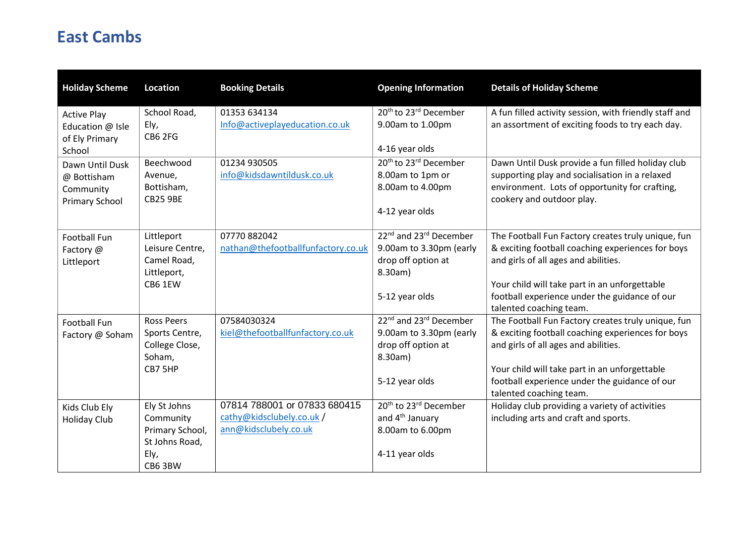### <span id="page-16-0"></span>**East Cambs**

<span id="page-16-5"></span><span id="page-16-4"></span><span id="page-16-3"></span><span id="page-16-2"></span><span id="page-16-1"></span>

| <b>Holiday Scheme</b>              | <b>Location</b>               | <b>Booking Details</b>             | <b>Opening Information</b>                     | <b>Details of Holiday Scheme</b>                                            |
|------------------------------------|-------------------------------|------------------------------------|------------------------------------------------|-----------------------------------------------------------------------------|
| <b>Active Play</b>                 | School Road,                  | 01353 634134                       | 20 <sup>th</sup> to 23 <sup>rd</sup> December  | A fun filled activity session, with friendly staff and                      |
| Education @ Isle<br>of Ely Primary | Ely,<br><b>CB6 2FG</b>        | Info@activeplayeducation.co.uk     | 9.00am to 1.00pm                               | an assortment of exciting foods to try each day.                            |
| School                             |                               |                                    | 4-16 year olds                                 |                                                                             |
| Dawn Until Dusk                    | Beechwood                     | 01234 930505                       | 20 <sup>th</sup> to 23 <sup>rd</sup> December  | Dawn Until Dusk provide a fun filled holiday club                           |
| @ Bottisham                        | Avenue,                       | info@kidsdawntildusk.co.uk         | 8.00am to 1pm or                               | supporting play and socialisation in a relaxed                              |
| Community                          | Bottisham,<br><b>CB25 9BE</b> |                                    | 8.00am to 4.00pm                               | environment. Lots of opportunity for crafting,<br>cookery and outdoor play. |
| <b>Primary School</b>              |                               |                                    | 4-12 year olds                                 |                                                                             |
| Football Fun                       | Littleport                    | 07770 882042                       | 22 <sup>nd</sup> and 23 <sup>rd</sup> December | The Football Fun Factory creates truly unique, fun                          |
| Factory @                          | Leisure Centre,               | nathan@thefootballfunfactory.co.uk | 9.00am to 3.30pm (early                        | & exciting football coaching experiences for boys                           |
| Littleport                         | Camel Road,<br>Littleport,    |                                    | drop off option at<br>8.30am)                  | and girls of all ages and abilities.                                        |
|                                    | CB6 1EW                       |                                    |                                                | Your child will take part in an unforgettable                               |
|                                    |                               |                                    | 5-12 year olds                                 | football experience under the guidance of our                               |
|                                    |                               |                                    |                                                | talented coaching team.                                                     |
| Football Fun                       | <b>Ross Peers</b>             | 07584030324                        | 22 <sup>nd</sup> and 23 <sup>rd</sup> December | The Football Fun Factory creates truly unique, fun                          |
| Factory @ Soham                    | Sports Centre,                | kiel@thefootballfunfactory.co.uk   | 9.00am to 3.30pm (early                        | & exciting football coaching experiences for boys                           |
|                                    | College Close,                |                                    | drop off option at                             | and girls of all ages and abilities.                                        |
|                                    | Soham,                        |                                    | 8.30am)                                        |                                                                             |
|                                    | CB7 5HP                       |                                    |                                                | Your child will take part in an unforgettable                               |
|                                    |                               |                                    | 5-12 year olds                                 | football experience under the guidance of our<br>talented coaching team.    |
| Kids Club Ely                      | Ely St Johns                  | 07814 788001 or 07833 680415       | 20 <sup>th</sup> to 23 <sup>rd</sup> December  | Holiday club providing a variety of activities                              |
| <b>Holiday Club</b>                | Community                     | cathy@kidsclubely.co.uk /          | and 4 <sup>th</sup> January                    | including arts and craft and sports.                                        |
|                                    | Primary School,               | ann@kidsclubely.co.uk              | 8.00am to 6.00pm                               |                                                                             |
|                                    | St Johns Road,                |                                    |                                                |                                                                             |
|                                    | Ely,                          |                                    | 4-11 year olds                                 |                                                                             |
|                                    | CB6 3BW                       |                                    |                                                |                                                                             |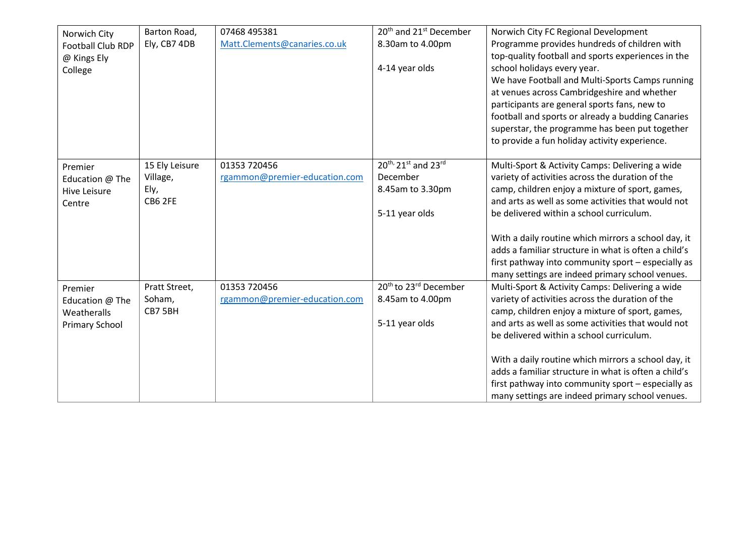<span id="page-17-2"></span><span id="page-17-1"></span><span id="page-17-0"></span>

| Norwich City<br>Football Club RDP<br>@ Kings Ely<br>College        | Barton Road,<br>Ely, CB7 4DB                  | 07468 495381<br>Matt.Clements@canaries.co.uk  | 20 <sup>th</sup> and 21 <sup>st</sup> December<br>8.30am to 4.00pm<br>4-14 year olds | Norwich City FC Regional Development<br>Programme provides hundreds of children with<br>top-quality football and sports experiences in the<br>school holidays every year.<br>We have Football and Multi-Sports Camps running<br>at venues across Cambridgeshire and whether<br>participants are general sports fans, new to<br>football and sports or already a budding Canaries<br>superstar, the programme has been put together<br>to provide a fun holiday activity experience. |
|--------------------------------------------------------------------|-----------------------------------------------|-----------------------------------------------|--------------------------------------------------------------------------------------|-------------------------------------------------------------------------------------------------------------------------------------------------------------------------------------------------------------------------------------------------------------------------------------------------------------------------------------------------------------------------------------------------------------------------------------------------------------------------------------|
| Premier<br>Education @ The<br><b>Hive Leisure</b><br>Centre        | 15 Ely Leisure<br>Village,<br>Ely,<br>CB6 2FE | 01353 720456<br>rgammon@premier-education.com | 20th, 21st and 23rd<br>December<br>8.45am to 3.30pm<br>5-11 year olds                | Multi-Sport & Activity Camps: Delivering a wide<br>variety of activities across the duration of the<br>camp, children enjoy a mixture of sport, games,<br>and arts as well as some activities that would not<br>be delivered within a school curriculum.<br>With a daily routine which mirrors a school day, it<br>adds a familiar structure in what is often a child's<br>first pathway into community sport - especially as<br>many settings are indeed primary school venues.    |
| Premier<br>Education @ The<br>Weatheralls<br><b>Primary School</b> | Pratt Street,<br>Soham,<br>CB7 5BH            | 01353 720456<br>rgammon@premier-education.com | 20 <sup>th</sup> to 23 <sup>rd</sup> December<br>8.45am to 4.00pm<br>5-11 year olds  | Multi-Sport & Activity Camps: Delivering a wide<br>variety of activities across the duration of the<br>camp, children enjoy a mixture of sport, games,<br>and arts as well as some activities that would not<br>be delivered within a school curriculum.<br>With a daily routine which mirrors a school day, it<br>adds a familiar structure in what is often a child's<br>first pathway into community sport - especially as<br>many settings are indeed primary school venues.    |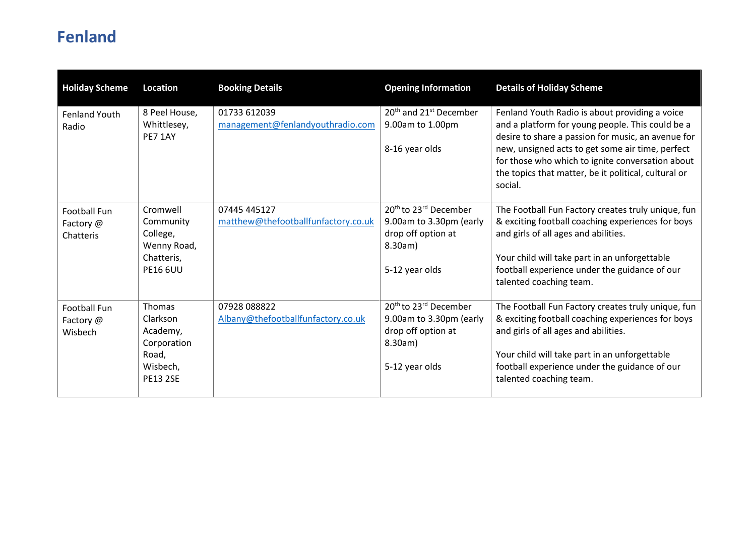## <span id="page-18-0"></span>**Fenland**

<span id="page-18-3"></span><span id="page-18-2"></span><span id="page-18-1"></span>

| <b>Holiday Scheme</b>                         | Location                                                                                     | <b>Booking Details</b>                              | <b>Opening Information</b>                                                                                                  | <b>Details of Holiday Scheme</b>                                                                                                                                                                                                                                                                                                    |
|-----------------------------------------------|----------------------------------------------------------------------------------------------|-----------------------------------------------------|-----------------------------------------------------------------------------------------------------------------------------|-------------------------------------------------------------------------------------------------------------------------------------------------------------------------------------------------------------------------------------------------------------------------------------------------------------------------------------|
| Fenland Youth<br>Radio                        | 8 Peel House,<br>Whittlesey,<br><b>PE7 1AY</b>                                               | 01733 612039<br>management@fenlandyouthradio.com    | 20 <sup>th</sup> and 21 <sup>st</sup> December<br>9.00am to 1.00pm<br>8-16 year olds                                        | Fenland Youth Radio is about providing a voice<br>and a platform for young people. This could be a<br>desire to share a passion for music, an avenue for<br>new, unsigned acts to get some air time, perfect<br>for those who which to ignite conversation about<br>the topics that matter, be it political, cultural or<br>social. |
| <b>Football Fun</b><br>Factory @<br>Chatteris | Cromwell<br>Community<br>College,<br>Wenny Road,<br>Chatteris,<br><b>PE16 6UU</b>            | 07445 445127<br>matthew@thefootballfunfactory.co.uk | 20 <sup>th</sup> to 23 <sup>rd</sup> December<br>9.00am to 3.30pm (early<br>drop off option at<br>8.30am)<br>5-12 year olds | The Football Fun Factory creates truly unique, fun<br>& exciting football coaching experiences for boys<br>and girls of all ages and abilities.<br>Your child will take part in an unforgettable<br>football experience under the guidance of our<br>talented coaching team.                                                        |
| Football Fun<br>Factory @<br>Wisbech          | <b>Thomas</b><br>Clarkson<br>Academy,<br>Corporation<br>Road,<br>Wisbech,<br><b>PE13 2SE</b> | 07928 088822<br>Albany@thefootballfunfactory.co.uk  | 20 <sup>th</sup> to 23 <sup>rd</sup> December<br>9.00am to 3.30pm (early<br>drop off option at<br>8.30am)<br>5-12 year olds | The Football Fun Factory creates truly unique, fun<br>& exciting football coaching experiences for boys<br>and girls of all ages and abilities.<br>Your child will take part in an unforgettable<br>football experience under the guidance of our<br>talented coaching team.                                                        |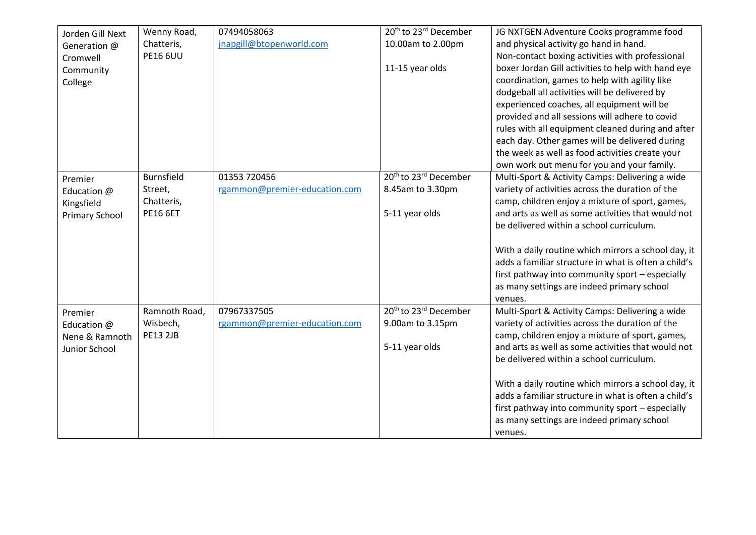<span id="page-19-2"></span><span id="page-19-1"></span><span id="page-19-0"></span>

| Jorden Gill Next      | Wenny Road,       | 07494058063                   | 20 <sup>th</sup> to 23 <sup>rd</sup> December | JG NXTGEN Adventure Cooks programme food             |
|-----------------------|-------------------|-------------------------------|-----------------------------------------------|------------------------------------------------------|
| Generation @          | Chatteris,        | jnapgill@btopenworld.com      | 10.00am to 2.00pm                             | and physical activity go hand in hand.               |
| Cromwell              | <b>PE16 6UU</b>   |                               |                                               | Non-contact boxing activities with professional      |
| Community             |                   |                               | 11-15 year olds                               | boxer Jordan Gill activities to help with hand eye   |
| College               |                   |                               |                                               | coordination, games to help with agility like        |
|                       |                   |                               |                                               | dodgeball all activities will be delivered by        |
|                       |                   |                               |                                               | experienced coaches, all equipment will be           |
|                       |                   |                               |                                               | provided and all sessions will adhere to covid       |
|                       |                   |                               |                                               | rules with all equipment cleaned during and after    |
|                       |                   |                               |                                               | each day. Other games will be delivered during       |
|                       |                   |                               |                                               | the week as well as food activities create your      |
|                       |                   |                               |                                               | own work out menu for you and your family.           |
| Premier               | <b>Burnsfield</b> | 01353 720456                  | 20 <sup>th</sup> to 23 <sup>rd</sup> December | Multi-Sport & Activity Camps: Delivering a wide      |
| Education @           | Street,           | rgammon@premier-education.com | 8.45am to 3.30pm                              | variety of activities across the duration of the     |
| Kingsfield            | Chatteris,        |                               |                                               | camp, children enjoy a mixture of sport, games,      |
| <b>Primary School</b> | <b>PE16 6ET</b>   |                               | 5-11 year olds                                | and arts as well as some activities that would not   |
|                       |                   |                               |                                               | be delivered within a school curriculum.             |
|                       |                   |                               |                                               |                                                      |
|                       |                   |                               |                                               | With a daily routine which mirrors a school day, it  |
|                       |                   |                               |                                               | adds a familiar structure in what is often a child's |
|                       |                   |                               |                                               | first pathway into community sport - especially      |
|                       |                   |                               |                                               | as many settings are indeed primary school           |
|                       |                   |                               |                                               | venues.                                              |
| Premier               | Ramnoth Road,     | 07967337505                   | 20 <sup>th</sup> to 23 <sup>rd</sup> December | Multi-Sport & Activity Camps: Delivering a wide      |
| Education @           | Wisbech,          | rgammon@premier-education.com | 9.00am to 3.15pm                              | variety of activities across the duration of the     |
| Nene & Ramnoth        | <b>PE13 2JB</b>   |                               |                                               | camp, children enjoy a mixture of sport, games,      |
| Junior School         |                   |                               | 5-11 year olds                                | and arts as well as some activities that would not   |
|                       |                   |                               |                                               | be delivered within a school curriculum.             |
|                       |                   |                               |                                               |                                                      |
|                       |                   |                               |                                               | With a daily routine which mirrors a school day, it  |
|                       |                   |                               |                                               | adds a familiar structure in what is often a child's |
|                       |                   |                               |                                               | first pathway into community sport - especially      |
|                       |                   |                               |                                               | as many settings are indeed primary school           |
|                       |                   |                               |                                               | venues.                                              |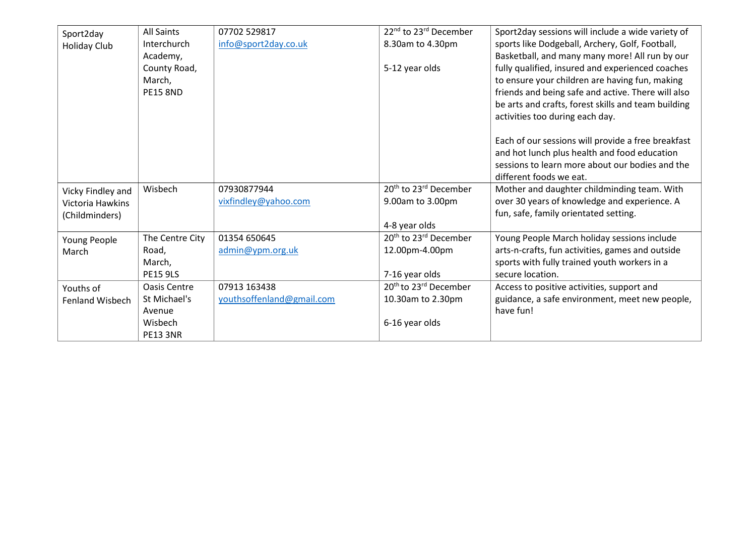<span id="page-20-4"></span><span id="page-20-3"></span><span id="page-20-2"></span><span id="page-20-1"></span><span id="page-20-0"></span>

| Sport2day         | <b>All Saints</b> | 07702 529817              | 22 <sup>nd</sup> to 23 <sup>rd</sup> December | Sport2day sessions will include a wide variety of   |
|-------------------|-------------------|---------------------------|-----------------------------------------------|-----------------------------------------------------|
| Holiday Club      | Interchurch       | info@sport2day.co.uk      | 8.30am to 4.30pm                              | sports like Dodgeball, Archery, Golf, Football,     |
|                   | Academy,          |                           |                                               | Basketball, and many many more! All run by our      |
|                   | County Road,      |                           | 5-12 year olds                                | fully qualified, insured and experienced coaches    |
|                   | March,            |                           |                                               | to ensure your children are having fun, making      |
|                   | <b>PE15 8ND</b>   |                           |                                               | friends and being safe and active. There will also  |
|                   |                   |                           |                                               | be arts and crafts, forest skills and team building |
|                   |                   |                           |                                               | activities too during each day.                     |
|                   |                   |                           |                                               |                                                     |
|                   |                   |                           |                                               | Each of our sessions will provide a free breakfast  |
|                   |                   |                           |                                               | and hot lunch plus health and food education        |
|                   |                   |                           |                                               | sessions to learn more about our bodies and the     |
|                   |                   |                           |                                               | different foods we eat.                             |
| Vicky Findley and | Wisbech           | 07930877944               | 20 <sup>th</sup> to 23 <sup>rd</sup> December | Mother and daughter childminding team. With         |
| Victoria Hawkins  |                   | vixfindley@yahoo.com      | 9.00am to 3.00pm                              | over 30 years of knowledge and experience. A        |
| (Childminders)    |                   |                           |                                               | fun, safe, family orientated setting.               |
|                   |                   |                           | 4-8 year olds                                 |                                                     |
| Young People      | The Centre City   | 01354 650645              | 20 <sup>th</sup> to 23 <sup>rd</sup> December | Young People March holiday sessions include         |
| March             | Road,             | admin@ypm.org.uk          | 12.00pm-4.00pm                                | arts-n-crafts, fun activities, games and outside    |
|                   | March,            |                           |                                               | sports with fully trained youth workers in a        |
|                   | <b>PE15 9LS</b>   |                           | 7-16 year olds                                | secure location.                                    |
| Youths of         | Oasis Centre      | 07913 163438              | 20 <sup>th</sup> to 23 <sup>rd</sup> December | Access to positive activities, support and          |
| Fenland Wisbech   | St Michael's      | youthsoffenland@gmail.com | 10.30am to 2.30pm                             | guidance, a safe environment, meet new people,      |
|                   | Avenue            |                           |                                               | have fun!                                           |
|                   | Wisbech           |                           | 6-16 year olds                                |                                                     |
|                   | <b>PE13 3NR</b>   |                           |                                               |                                                     |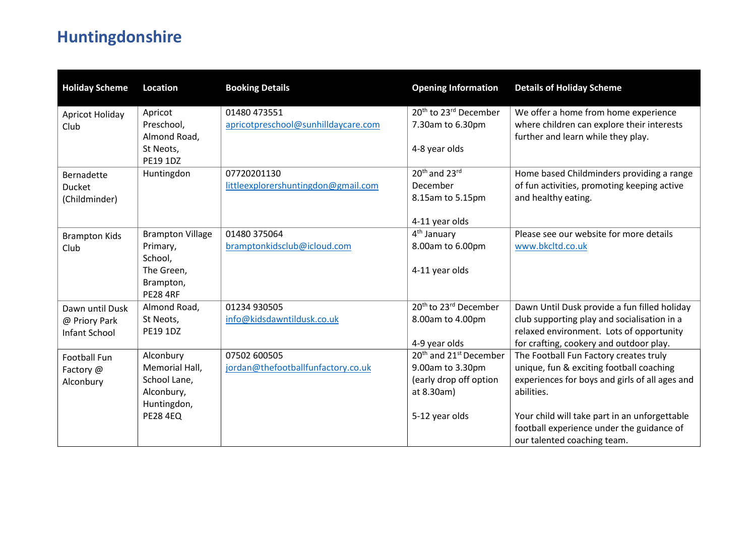# **Huntingdonshire**

<span id="page-21-4"></span><span id="page-21-3"></span><span id="page-21-2"></span><span id="page-21-1"></span><span id="page-21-0"></span>

| <b>Holiday Scheme</b>  | <b>Location</b>             | <b>Booking Details</b>                              | <b>Opening Information</b>                                        | <b>Details of Holiday Scheme</b>                                                   |
|------------------------|-----------------------------|-----------------------------------------------------|-------------------------------------------------------------------|------------------------------------------------------------------------------------|
| Apricot Holiday        | Apricot<br>Preschool,       | 01480 473551<br>apricotpreschool@sunhilldaycare.com | 20 <sup>th</sup> to 23 <sup>rd</sup> December<br>7.30am to 6.30pm | We offer a home from home experience<br>where children can explore their interests |
| Club                   | Almond Road,                |                                                     |                                                                   | further and learn while they play.                                                 |
|                        | St Neots,<br>PE19 1DZ       |                                                     | 4-8 year olds                                                     |                                                                                    |
| Bernadette             | Huntingdon                  | 07720201130                                         | 20th and 23rd                                                     | Home based Childminders providing a range                                          |
| Ducket                 |                             | littleexplorershuntingdon@gmail.com                 | December                                                          | of fun activities, promoting keeping active                                        |
| (Childminder)          |                             |                                                     | 8.15am to 5.15pm                                                  | and healthy eating.                                                                |
|                        |                             |                                                     | 4-11 year olds                                                    |                                                                                    |
| <b>Brampton Kids</b>   | <b>Brampton Village</b>     | 01480 375064                                        | 4 <sup>th</sup> January                                           | Please see our website for more details                                            |
| Club                   | Primary,                    | bramptonkidsclub@icloud.com                         | 8.00am to 6.00pm                                                  | www.bkcltd.co.uk                                                                   |
|                        | School,<br>The Green,       |                                                     | 4-11 year olds                                                    |                                                                                    |
|                        | Brampton,                   |                                                     |                                                                   |                                                                                    |
|                        | <b>PE28 4RF</b>             |                                                     |                                                                   |                                                                                    |
| Dawn until Dusk        | Almond Road,                | 01234 930505                                        | 20 <sup>th</sup> to 23 <sup>rd</sup> December                     | Dawn Until Dusk provide a fun filled holiday                                       |
| @ Priory Park          | St Neots,                   | info@kidsdawntildusk.co.uk                          | 8.00am to 4.00pm                                                  | club supporting play and socialisation in a                                        |
| Infant School          | PE19 1DZ                    |                                                     |                                                                   | relaxed environment. Lots of opportunity                                           |
|                        |                             | 07502 600505                                        | 4-9 year olds<br>20 <sup>th</sup> and 21 <sup>st</sup> December   | for crafting, cookery and outdoor play.                                            |
| <b>Football Fun</b>    | Alconbury<br>Memorial Hall, | jordan@thefootballfunfactory.co.uk                  | 9.00am to 3.30pm                                                  | The Football Fun Factory creates truly<br>unique, fun & exciting football coaching |
| Factory @<br>Alconbury | School Lane,                |                                                     | (early drop off option                                            | experiences for boys and girls of all ages and                                     |
|                        | Alconbury,                  |                                                     | at 8.30am)                                                        | abilities.                                                                         |
|                        | Huntingdon,                 |                                                     |                                                                   |                                                                                    |
|                        | <b>PE28 4EQ</b>             |                                                     | 5-12 year olds                                                    | Your child will take part in an unforgettable                                      |
|                        |                             |                                                     |                                                                   | football experience under the guidance of                                          |
|                        |                             |                                                     |                                                                   | our talented coaching team.                                                        |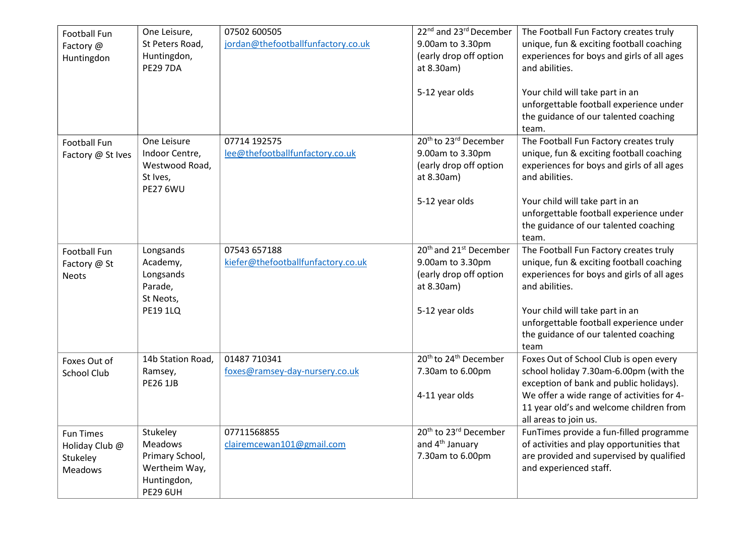<span id="page-22-4"></span><span id="page-22-3"></span><span id="page-22-2"></span><span id="page-22-1"></span><span id="page-22-0"></span>

| <b>Football Fun</b><br>Factory @<br>Huntingdon                   | One Leisure,<br>St Peters Road,<br>Huntingdon,<br><b>PE29 7DA</b>                         | 07502 600505<br>jordan@thefootballfunfactory.co.uk | 22 <sup>nd</sup> and 23 <sup>rd</sup> December<br>9.00am to 3.30pm<br>(early drop off option<br>at 8.30am)<br>5-12 year olds | The Football Fun Factory creates truly<br>unique, fun & exciting football coaching<br>experiences for boys and girls of all ages<br>and abilities.<br>Your child will take part in an<br>unforgettable football experience under<br>the guidance of our talented coaching<br>team. |
|------------------------------------------------------------------|-------------------------------------------------------------------------------------------|----------------------------------------------------|------------------------------------------------------------------------------------------------------------------------------|------------------------------------------------------------------------------------------------------------------------------------------------------------------------------------------------------------------------------------------------------------------------------------|
| <b>Football Fun</b><br>Factory @ St Ives                         | One Leisure<br>Indoor Centre,<br>Westwood Road,<br>St Ives,<br><b>PE27 6WU</b>            | 07714 192575<br>lee@thefootballfunfactory.co.uk    | 20 <sup>th</sup> to 23 <sup>rd</sup> December<br>9.00am to 3.30pm<br>(early drop off option<br>at 8.30am)<br>5-12 year olds  | The Football Fun Factory creates truly<br>unique, fun & exciting football coaching<br>experiences for boys and girls of all ages<br>and abilities.<br>Your child will take part in an<br>unforgettable football experience under                                                   |
|                                                                  |                                                                                           |                                                    |                                                                                                                              | the guidance of our talented coaching<br>team.                                                                                                                                                                                                                                     |
| Football Fun<br>Factory @ St<br><b>Neots</b>                     | Longsands<br>Academy,<br>Longsands<br>Parade,<br>St Neots,<br><b>PE19 1LQ</b>             | 07543 657188<br>kiefer@thefootballfunfactory.co.uk | 20 <sup>th</sup> and 21 <sup>st</sup> December<br>9.00am to 3.30pm<br>(early drop off option<br>at 8.30am)<br>5-12 year olds | The Football Fun Factory creates truly<br>unique, fun & exciting football coaching<br>experiences for boys and girls of all ages<br>and abilities.<br>Your child will take part in an<br>unforgettable football experience under<br>the guidance of our talented coaching          |
| Foxes Out of<br><b>School Club</b>                               | 14b Station Road,<br>Ramsey,<br><b>PE26 1JB</b>                                           | 01487 710341<br>foxes@ramsey-day-nursery.co.uk     | 20 <sup>th</sup> to 24 <sup>th</sup> December<br>7.30am to 6.00pm<br>4-11 year olds                                          | team<br>Foxes Out of School Club is open every<br>school holiday 7.30am-6.00pm (with the<br>exception of bank and public holidays).<br>We offer a wide range of activities for 4-<br>11 year old's and welcome children from<br>all areas to join us.                              |
| <b>Fun Times</b><br>Holiday Club @<br>Stukeley<br><b>Meadows</b> | Stukeley<br>Meadows<br>Primary School,<br>Wertheim Way,<br>Huntingdon,<br><b>PE29 6UH</b> | 07711568855<br>clairemcewan101@gmail.com           | 20 <sup>th</sup> to 23 <sup>rd</sup> December<br>and 4 <sup>th</sup> January<br>7.30am to 6.00pm                             | FunTimes provide a fun-filled programme<br>of activities and play opportunities that<br>are provided and supervised by qualified<br>and experienced staff.                                                                                                                         |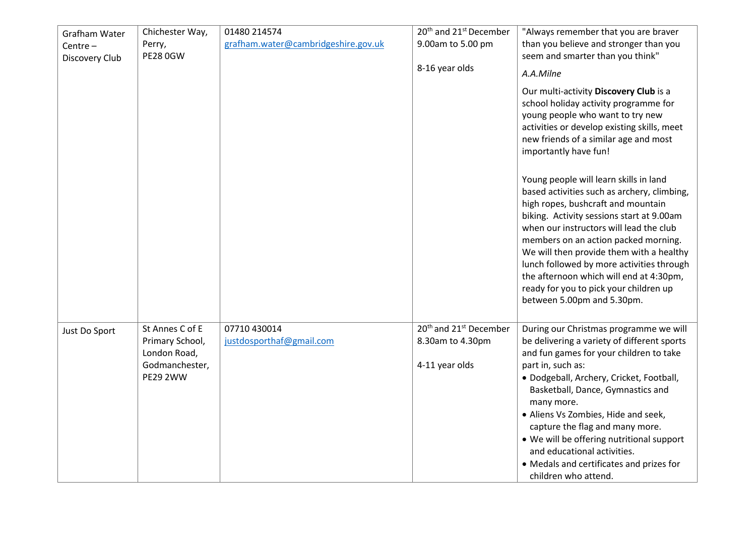<span id="page-23-1"></span><span id="page-23-0"></span>

| Grafham Water  | Chichester Way,                 | 01480 214574                        | 20 <sup>th</sup> and 21 <sup>st</sup> December | "Always remember that you are braver                                                                                                                                                                                                                                                                                                                                                                                                                                    |
|----------------|---------------------------------|-------------------------------------|------------------------------------------------|-------------------------------------------------------------------------------------------------------------------------------------------------------------------------------------------------------------------------------------------------------------------------------------------------------------------------------------------------------------------------------------------------------------------------------------------------------------------------|
| Centre $-$     | Perry,                          | grafham.water@cambridgeshire.gov.uk | 9.00am to 5.00 pm                              | than you believe and stronger than you                                                                                                                                                                                                                                                                                                                                                                                                                                  |
| Discovery Club | <b>PE28 0GW</b>                 |                                     |                                                | seem and smarter than you think"                                                                                                                                                                                                                                                                                                                                                                                                                                        |
|                |                                 |                                     | 8-16 year olds                                 | A.A.Milne                                                                                                                                                                                                                                                                                                                                                                                                                                                               |
|                |                                 |                                     |                                                | Our multi-activity Discovery Club is a<br>school holiday activity programme for<br>young people who want to try new<br>activities or develop existing skills, meet<br>new friends of a similar age and most<br>importantly have fun!                                                                                                                                                                                                                                    |
|                |                                 |                                     |                                                | Young people will learn skills in land<br>based activities such as archery, climbing,<br>high ropes, bushcraft and mountain<br>biking. Activity sessions start at 9.00am<br>when our instructors will lead the club<br>members on an action packed morning.<br>We will then provide them with a healthy<br>lunch followed by more activities through<br>the afternoon which will end at 4:30pm,<br>ready for you to pick your children up<br>between 5.00pm and 5.30pm. |
| Just Do Sport  | St Annes C of E                 | 07710 430014                        | 20 <sup>th</sup> and 21 <sup>st</sup> December | During our Christmas programme we will                                                                                                                                                                                                                                                                                                                                                                                                                                  |
|                | Primary School,<br>London Road, | justdosporthaf@gmail.com            | 8.30am to 4.30pm                               | be delivering a variety of different sports<br>and fun games for your children to take                                                                                                                                                                                                                                                                                                                                                                                  |
|                | Godmanchester,                  |                                     | 4-11 year olds                                 | part in, such as:                                                                                                                                                                                                                                                                                                                                                                                                                                                       |
|                | <b>PE29 2WW</b>                 |                                     |                                                | · Dodgeball, Archery, Cricket, Football,<br>Basketball, Dance, Gymnastics and<br>many more.<br>• Aliens Vs Zombies, Hide and seek,<br>capture the flag and many more.<br>• We will be offering nutritional support                                                                                                                                                                                                                                                      |
|                |                                 |                                     |                                                | and educational activities.                                                                                                                                                                                                                                                                                                                                                                                                                                             |
|                |                                 |                                     |                                                | • Medals and certificates and prizes for<br>children who attend.                                                                                                                                                                                                                                                                                                                                                                                                        |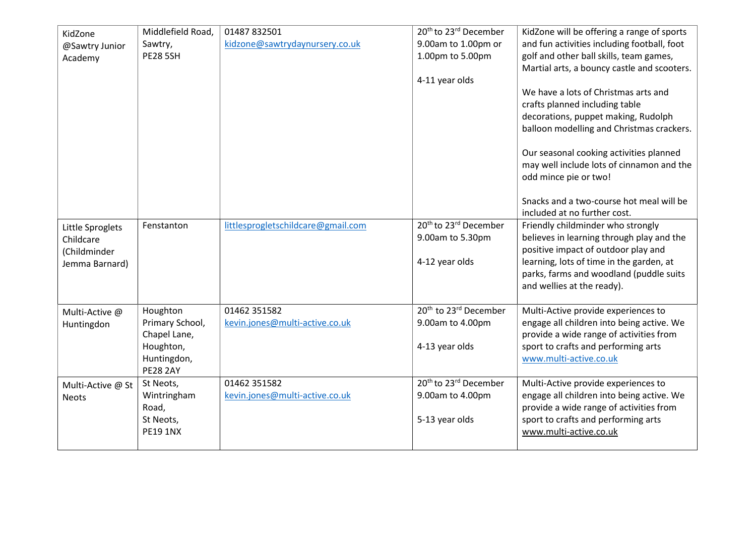<span id="page-24-3"></span><span id="page-24-2"></span><span id="page-24-1"></span><span id="page-24-0"></span>

| KidZone<br>@Sawtry Junior<br>Academy                            | Middlefield Road,<br>Sawtry,<br><b>PE28 5SH</b>                                            | 01487 832501<br>kidzone@sawtrydaynursery.co.uk | 20 <sup>th</sup> to 23 <sup>rd</sup> December<br>9.00am to 1.00pm or<br>1.00pm to 5.00pm<br>4-11 year olds | KidZone will be offering a range of sports<br>and fun activities including football, foot<br>golf and other ball skills, team games,<br>Martial arts, a bouncy castle and scooters.<br>We have a lots of Christmas arts and<br>crafts planned including table<br>decorations, puppet making, Rudolph<br>balloon modelling and Christmas crackers. |
|-----------------------------------------------------------------|--------------------------------------------------------------------------------------------|------------------------------------------------|------------------------------------------------------------------------------------------------------------|---------------------------------------------------------------------------------------------------------------------------------------------------------------------------------------------------------------------------------------------------------------------------------------------------------------------------------------------------|
|                                                                 |                                                                                            |                                                |                                                                                                            | Our seasonal cooking activities planned<br>may well include lots of cinnamon and the<br>odd mince pie or two!<br>Snacks and a two-course hot meal will be<br>included at no further cost.                                                                                                                                                         |
| Little Sproglets<br>Childcare<br>(Childminder<br>Jemma Barnard) | Fenstanton                                                                                 | littlesprogletschildcare@gmail.com             | 20 <sup>th</sup> to 23 <sup>rd</sup> December<br>9.00am to 5.30pm<br>4-12 year olds                        | Friendly childminder who strongly<br>believes in learning through play and the<br>positive impact of outdoor play and<br>learning, lots of time in the garden, at<br>parks, farms and woodland (puddle suits<br>and wellies at the ready).                                                                                                        |
| Multi-Active @<br>Huntingdon                                    | Houghton<br>Primary School,<br>Chapel Lane,<br>Houghton,<br>Huntingdon,<br><b>PE28 2AY</b> | 01462 351582<br>kevin.jones@multi-active.co.uk | 20 <sup>th</sup> to 23 <sup>rd</sup> December<br>9.00am to 4.00pm<br>4-13 year olds                        | Multi-Active provide experiences to<br>engage all children into being active. We<br>provide a wide range of activities from<br>sport to crafts and performing arts<br>www.multi-active.co.uk                                                                                                                                                      |
| Multi-Active @ St<br><b>Neots</b>                               | St Neots,<br>Wintringham<br>Road,<br>St Neots,<br><b>PE19 1NX</b>                          | 01462 351582<br>kevin.jones@multi-active.co.uk | 20 <sup>th</sup> to 23 <sup>rd</sup> December<br>9.00am to 4.00pm<br>5-13 year olds                        | Multi-Active provide experiences to<br>engage all children into being active. We<br>provide a wide range of activities from<br>sport to crafts and performing arts<br>www.multi-active.co.uk                                                                                                                                                      |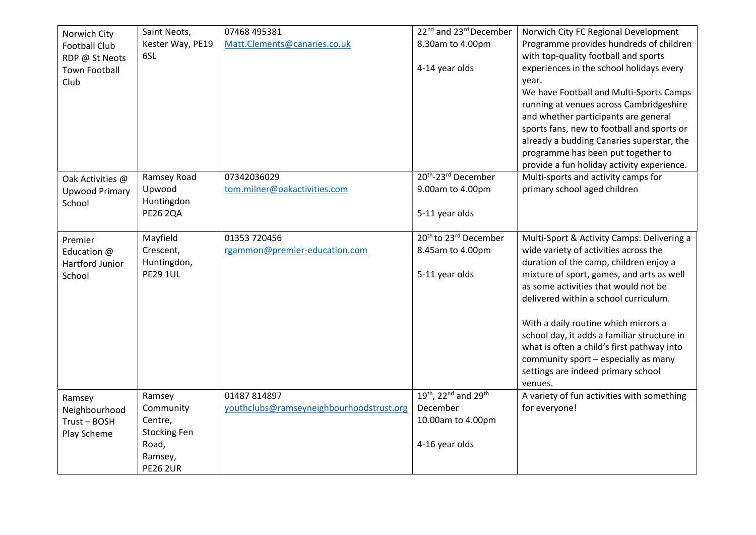<span id="page-25-3"></span><span id="page-25-2"></span><span id="page-25-1"></span><span id="page-25-0"></span>

| Norwich City<br><b>Football Club</b><br>RDP @ St Neots<br><b>Town Football</b><br>Club | Saint Neots,<br>Kester Way, PE19<br>6SL                                                      | 07468 495381<br>Matt.Clements@canaries.co.uk             | 22 <sup>nd</sup> and 23 <sup>rd</sup> December<br>8.30am to 4.00pm<br>4-14 year olds | Norwich City FC Regional Development<br>Programme provides hundreds of children<br>with top-quality football and sports<br>experiences in the school holidays every<br>vear.<br>We have Football and Multi-Sports Camps<br>running at venues across Cambridgeshire<br>and whether participants are general<br>sports fans, new to football and sports or<br>already a budding Canaries superstar, the<br>programme has been put together to                                               |
|----------------------------------------------------------------------------------------|----------------------------------------------------------------------------------------------|----------------------------------------------------------|--------------------------------------------------------------------------------------|-------------------------------------------------------------------------------------------------------------------------------------------------------------------------------------------------------------------------------------------------------------------------------------------------------------------------------------------------------------------------------------------------------------------------------------------------------------------------------------------|
| Oak Activities @<br><b>Upwood Primary</b><br>School                                    | Ramsey Road<br>Upwood<br>Huntingdon<br><b>PE26 2QA</b>                                       | 07342036029<br>tom.milner@oakactivities.com              | 20 <sup>th</sup> -23 <sup>rd</sup> December<br>9.00am to 4.00pm<br>5-11 year olds    | provide a fun holiday activity experience.<br>Multi-sports and activity camps for<br>primary school aged children                                                                                                                                                                                                                                                                                                                                                                         |
| Premier<br>Education @<br>Hartford Junior<br>School                                    | Mayfield<br>Crescent,<br>Huntingdon,<br><b>PE29 1UL</b>                                      | 01353 720456<br>rgammon@premier-education.com            | $20th$ to 23 <sup>rd</sup> December<br>8.45am to 4.00pm<br>5-11 year olds            | Multi-Sport & Activity Camps: Delivering a<br>wide variety of activities across the<br>duration of the camp, children enjoy a<br>mixture of sport, games, and arts as well<br>as some activities that would not be<br>delivered within a school curriculum.<br>With a daily routine which mirrors a<br>school day, it adds a familiar structure in<br>what is often a child's first pathway into<br>community sport - especially as many<br>settings are indeed primary school<br>venues. |
| Ramsey<br>Neighbourhood<br>Trust-BOSH<br>Play Scheme                                   | Ramsey<br>Community<br>Centre,<br><b>Stocking Fen</b><br>Road,<br>Ramsey,<br><b>PE26 2UR</b> | 01487 814897<br>youthclubs@ramseyneighbourhoodstrust.org | 19th, 22nd and 29th<br>December<br>10.00am to 4.00pm<br>4-16 year olds               | A variety of fun activities with something<br>for everyone!                                                                                                                                                                                                                                                                                                                                                                                                                               |